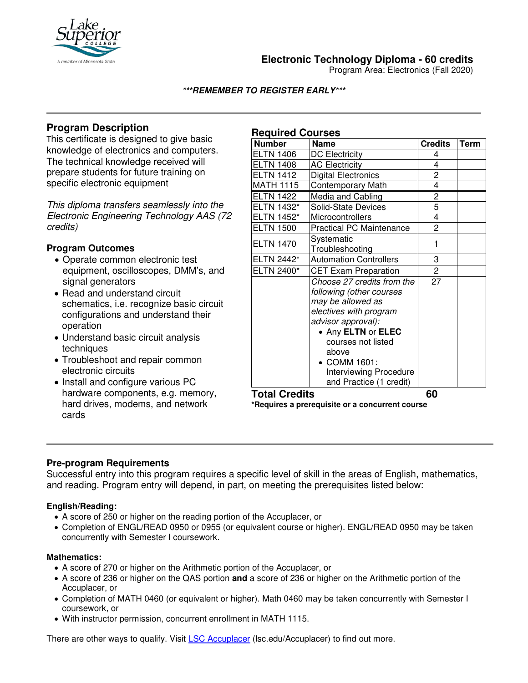

## **Electronic Technology Diploma - 60 credits**

Program Area: Electronics (Fall 2020)

**\*\*\*REMEMBER TO REGISTER EARLY\*\*\***

# **Program Description**

This certificate is designed to give basic knowledge of electronics and computers. The technical knowledge received will prepare students for future training on specific electronic equipment

*This diploma transfers seamlessly into the Electronic Engineering Technology AAS (72 credits)*

### **Program Outcomes**

- Operate common electronic test equipment, oscilloscopes, DMM's, and signal generators
- Read and understand circuit schematics, i.e. recognize basic circuit configurations and understand their operation
- Understand basic circuit analysis techniques
- Troubleshoot and repair common electronic circuits
- Install and configure various PC hardware components, e.g. memory, hard drives, modems, and network cards

| <b>Required Courses</b> |                                 |                |             |
|-------------------------|---------------------------------|----------------|-------------|
| <b>Number</b>           | <b>Name</b>                     | <b>Credits</b> | <b>Term</b> |
| ELTN 1406               | <b>DC Electricity</b>           | 4              |             |
| <b>ELTN 1408</b>        | <b>AC Electricity</b>           | 4              |             |
| <b>ELTN 1412</b>        | <b>Digital Electronics</b>      | 2              |             |
| MATH 1115               | <b>Contemporary Math</b>        | 4              |             |
| <b>ELTN 1422</b>        | Media and Cabling               | $\overline{c}$ |             |
| ELTN 1432*              | Solid-State Devices             | 5              |             |
| ELTN 1452*              | Microcontrollers                | 4              |             |
| <b>ELTN 1500</b>        | <b>Practical PC Maintenance</b> | 2              |             |
| <b>ELTN 1470</b>        | Systematic                      | 1              |             |
|                         | Troubleshooting                 |                |             |
| ELTN 2442*              | <b>Automation Controllers</b>   | 3              |             |
| ELTN 2400*              | <b>CET Exam Preparation</b>     | $\overline{c}$ |             |
|                         | Choose 27 credits from the      | 27             |             |
|                         | following (other courses        |                |             |
|                         | may be allowed as               |                |             |
|                         | electives with program          |                |             |
|                         | advisor approval):              |                |             |
|                         | • Any ELTN or ELEC              |                |             |
|                         | courses not listed              |                |             |
|                         | above                           |                |             |
|                         | • COMM 1601:                    |                |             |
|                         | Interviewing Procedure          |                |             |
|                         | and Practice (1 credit)         |                |             |

#### **Total Credits 60**

**\*Requires a prerequisite or a concurrent course**

### **Pre-program Requirements**

Successful entry into this program requires a specific level of skill in the areas of English, mathematics, and reading. Program entry will depend, in part, on meeting the prerequisites listed below:

#### **English/Reading:**

- A score of 250 or higher on the reading portion of the Accuplacer, or
- Completion of ENGL/READ 0950 or 0955 (or equivalent course or higher). ENGL/READ 0950 may be taken concurrently with Semester I coursework.

#### **Mathematics:**

- A score of 270 or higher on the Arithmetic portion of the Accuplacer, or
- A score of 236 or higher on the QAS portion **and** a score of 236 or higher on the Arithmetic portion of the Accuplacer, or
- Completion of MATH 0460 (or equivalent or higher). Math 0460 may be taken concurrently with Semester I coursework, or
- With instructor permission, concurrent enrollment in MATH 1115.

There are other ways to qualify. Visit LSC Accuplacer (Isc.edu/Accuplacer) to find out more.